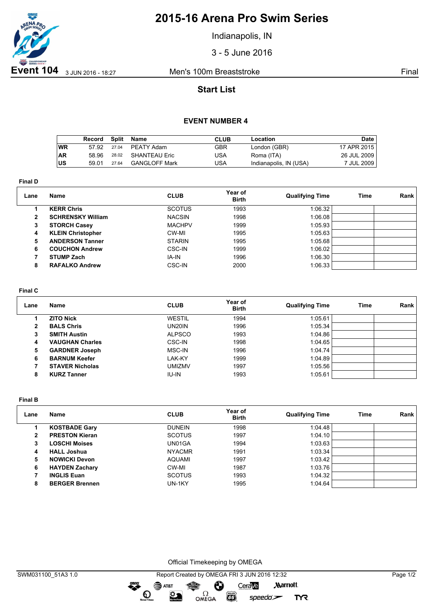

# **2015-16 Arena Pro Swim Series**

Indianapolis, IN

3 - 5 June 2016

## **Start List**

### **EVENT NUMBER 4**

|           | Record | Split | Name                 | <b>CLUB</b> | Location               | Date        |
|-----------|--------|-------|----------------------|-------------|------------------------|-------------|
| ∣wR       | 57.92  | 27.04 | PEATY Adam           | GBR         | London (GBR)           | 17 APR 2015 |
| <b>AR</b> | 58.96  | 28.02 | SHANTEAU Eric        | USA         | Roma (ITA)             | 26 JUL 2009 |
| ∣∪s       | 59.01  | 27.64 | <b>GANGLOFF Mark</b> | USA         | Indianapolis, IN (USA) | 7 JUL 2009  |

**Final D**

| Lane           | <b>Name</b>              | <b>CLUB</b>   | Year of<br><b>Birth</b> | <b>Qualifying Time</b> | Time | Rank |
|----------------|--------------------------|---------------|-------------------------|------------------------|------|------|
|                | <b>KERR Chris</b>        | <b>SCOTUS</b> | 1993                    | 1:06.32                |      |      |
| $\overline{2}$ | <b>SCHRENSKY William</b> | <b>NACSIN</b> | 1998                    | 1:06.08                |      |      |
| 3              | <b>STORCH Casey</b>      | <b>MACHPV</b> | 1999                    | 1:05.93                |      |      |
| 4              | <b>KLEIN Christopher</b> | CW-MI         | 1995                    | 1:05.63                |      |      |
| 5.             | <b>ANDERSON Tanner</b>   | <b>STARIN</b> | 1995                    | 1:05.68                |      |      |
| 6              | <b>COUCHON Andrew</b>    | CSC-IN        | 1999                    | 1:06.02                |      |      |
|                | <b>STUMP Zach</b>        | IA-IN         | 1996                    | 1:06.30                |      |      |
| 8              | <b>RAFALKO Andrew</b>    | CSC-IN        | 2000                    | 1:06.33                |      |      |

#### **Final C**

| Lane | Name                   | <b>CLUB</b>   | Year of<br><b>Birth</b> | <b>Qualifying Time</b> | Time | Rank |
|------|------------------------|---------------|-------------------------|------------------------|------|------|
|      | <b>ZITO Nick</b>       | <b>WESTIL</b> | 1994                    | 1:05.61                |      |      |
| 2    | <b>BALS Chris</b>      | UN20IN        | 1996                    | 1:05.34                |      |      |
| з    | <b>SMITH Austin</b>    | <b>ALPSCO</b> | 1993                    | 1:04.86                |      |      |
| 4    | <b>VAUGHAN Charles</b> | CSC-IN        | 1998                    | 1:04.65                |      |      |
| 5    | <b>GARDNER Joseph</b>  | MSC-IN        | 1996                    | 1:04.74                |      |      |
| 6    | <b>BARNUM Keefer</b>   | LAK-KY        | 1999                    | 1:04.89                |      |      |
|      | <b>STAVER Nicholas</b> | umizmv        | 1997                    | 1:05.56                |      |      |
| 8    | <b>KURZ Tanner</b>     | <b>IU-IN</b>  | 1993                    | 1:05.61                |      |      |

**Final B**

| Lane | <b>Name</b>           | <b>CLUB</b>   | Year of<br><b>Birth</b> | <b>Qualifying Time</b> | Time | Rank |
|------|-----------------------|---------------|-------------------------|------------------------|------|------|
|      | <b>KOSTBADE Gary</b>  | <b>DUNEIN</b> | 1998                    | 1:04.48                |      |      |
| 2    | <b>PRESTON Kieran</b> | <b>SCOTUS</b> | 1997                    | 1:04.10                |      |      |
| 3    | <b>LOSCHI Moises</b>  | UN01GA        | 1994                    | 1:03.63                |      |      |
| 4    | <b>HALL Joshua</b>    | <b>NYACMR</b> | 1991                    | 1:03.34                |      |      |
| 5    | <b>NOWICKI Devon</b>  | <b>AQUAMI</b> | 1997                    | 1:03.42                |      |      |
| 6    | <b>HAYDEN Zachary</b> | CW-MI         | 1987                    | 1:03.76                |      |      |
|      | <b>INGLIS Euan</b>    | <b>SCOTUS</b> | 1993                    | 1:04.32                |      |      |
| 8    | <b>BERGER Brennen</b> | UN-1KY        | 1995                    | 1:04.64                |      |      |

Official Timekeeping by OMEGA

OMEGA

Ô

 $\overline{G}$ 

greng:

 $\mathbf{O}$ 

SAT&T

 $\mathfrak{D}$ 

CeraVe

 $speedo$ 

**Marriott** 

**TYR**